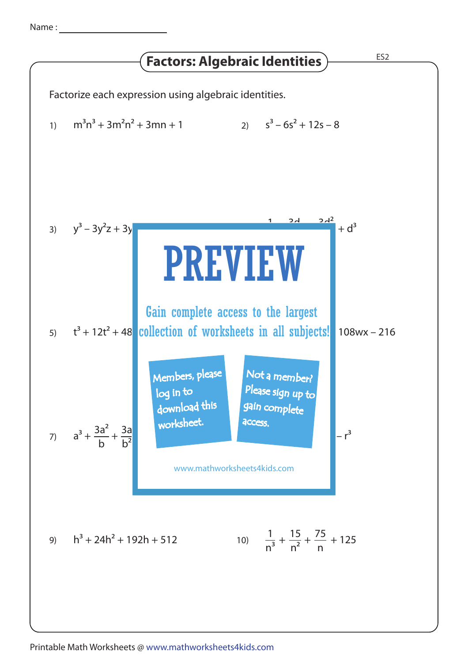